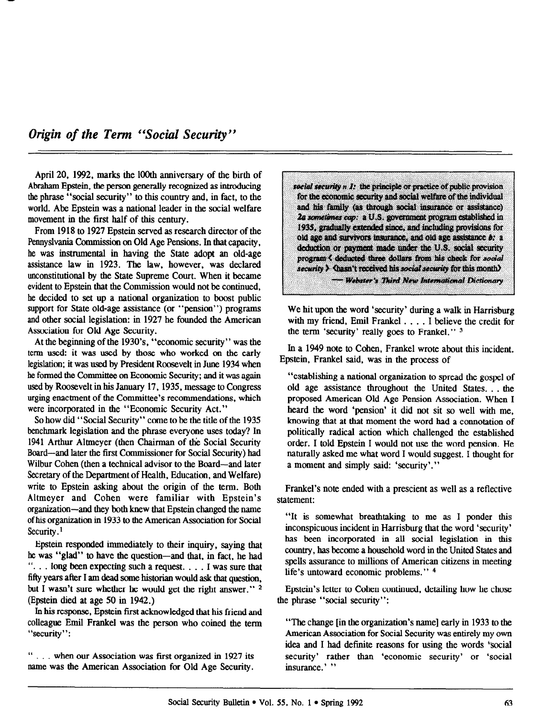April 20, 1992, marks the 100th anniversary of the birth of Abraham Epstein, the person generally recognized as introducing the phrase "social security" to this country and, in fact, to the world. Abe Epstein was a national leader in the social welfare movement in the first half of this century.

From 1918 to 1927 Epstein served as research director of the Pennyslvania Commission on Old Age Pensions. In that capacity, he was instrumental in having the State adopt an old-age assistance law in 1923. The law, however, was declared unconstitutional by the State Supreme Court. When it became evident to Epstein that the Commission would not be continued, he decided to set up a national organization to boost public support for State old-age assistance (or "pension") programs and other social legislation: in 1927 he founded the American Association for Old Age Security.

At the beginning of the 1930's. "economic security" was the term used: it was used by those who worked on the early legislation; it was used by President Roosevelt in June 1934 when he formed the Committee on Economic Security; and it was again used by Roosevelt in his January 17.1935, message to Congress urging enactment of the Committee's recommendations, which were incorporated in the "Economic Security Act."

So how did "Social Security" come to be the title of the 1935 benchmark legislation and the phrase everyone uses today? In 1941 Arthur Altmeyer (then Chairman of the Social Security Board-and later the first Commissioner for Social Security) had Wilbur Cohen (then a technical advisor to the Board-and later Secretary of the Department of Health, Education, and Welfare) write to Epstein asking about the origin of the term. Both Altmeyer and Cohen were familiar with Epstein's organization-and they both knew that Epstein changed the name of his organization in 1933 to the American Association for Social Security.<sup>1</sup>

Epstein responded immediately to their inquiry, saying that he was "glad" to have the question-and that, in fact, he had . . . long been expecting such a request. . . . I was sure that fifty years after I am dead some historian would ask that question, but I wasn't sure whether he would get the right answer."  $2$ (Epstein died at age 50 in 1942.)

In bis response, Epstein first acknowledged that his friend and colleague Emil Frankel was the person who coined the term "security":

. . . when our Association was first organized in 1927 its name was the American Association for Old Age Security. social security n 1: the principle or practice of public provision for the economic security and social welfare of the individual and his family (as through social insurance or assistance) 2a sometimes cap: a U.S. government program established in 1935, gradually extended since, and including provisions for old age and survivors insurance, and old age assistance b: a deduction or payment made under the U.S. social security program < deducted three dollars from his check for social security > Chasn't received his social security for this month)

- Webster's Third New International Dictionary

We hit upon the word 'security' during a walk in Harrisburg with my friend, Emil Frankel . . . . I believe the credit for the term 'security' really goes to Frankel." 3

In a 1949 note to Cohen, Frankel wrote about this incident. Epstein, Frankel said, was in the process of

"establishing a national organization to spread the gospel of old age assistance throughout the United States. . . the proposed American Old Age Pension Association. When I heard the word 'pension' it did not sit so well with me. knowing that at that moment the word had a connotation of politically radical action which challenged the established order. I told Epstein I would not use the word pension. He naturally asked me what word I would suggest. I thought for a moment and simply said: 'security'."

Frankel's note ended with a prescient as well as a reflective statement:

"It is somewhat breathtaking to me as I ponder this inconspicuous incident in Harrisburg that the word 'security' has been incorporated in all social legislation in this country, has become a household word in the United States and spells assurance to millions of American citizens in meeting life's untoward economic problems." 4

Epstein's letter to Cohen continued, detailing how he chose the phrase "social security":

"The change [in the organization's name] early in 1933 to the American Association for Social Security was entirely my own idea and I had definite reasons for using the words 'social security' rather than 'economic security' or 'social insurance.' "